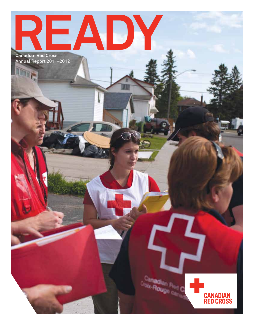**Ready Canadian Red Cross**

Annual Report 2011–2012

R<sub>tad</sub> C **A-Roup** 

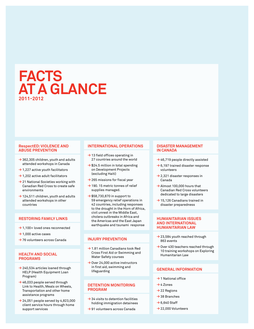# **Facts at a Glance 2011-2012**

#### **RespectED: Violence and Abuse prevention**

- **→** 362,305 children, youth and adults attended workshops in Canada
- **→** 1,227 active youth facilitators
- **→** 1,202 active adult facilitators
- **→** 21 National Societies working with Canadian Red Cross to create safe environments
- **→** 124,511 children, youth and adults attended workshops in other countries

#### **Restoring Family Links**

- **→** 1,100+ loved ones reconnected
- **→** 1,000 active cases
- **→** 76 volunteers across Canada

#### **Health and Social Programs**

- **→** 240,534 articles loaned through HELP (Health Equipment Loan Program)
- **→** 46,033 people served through Link to Health, Meals on Wheels, Transportation and other home assistance programs
- **→** 24,051 people served by 4,823,000 client service hours through home support services

#### **International Operations**

- **→** 13 field offices operating in 27 countries around the world
- **→** \$24.5 million in total spending on Development Projects (excluding Haiti)
- **→** 265 missions for fiscal year
- **→** 190. 15 metric tonnes of relief supplies managed.
- **→** \$58,730,870 in support to 59 emergency relief operations in 42 countries, including responses to the drought in the Horn of Africa, civil unrest in the Middle East, cholera outbreaks in Africa and the Americas and the East Japan earthquake and tsunami response

#### **Injury Prevention**

- **→** 1.81 million Canadians took Red Cross First Aid or Swimming and Water Safety courses
- **→** Over 24,000 active instructors in first aid, swimming and lifeguarding

#### **Detention Monitoring Program**

- **→** 34 visits to detention facilities holding immigration detainees
- **→** 91 volunteers across Canada

#### **Disaster Management in Canada**

- **→** 46,719 people directly assisted
- **→** 6,197 trained disaster response volunteers
- **→** 2,321 disaster responses in Canada
- **→** Almost 100,000 hours that Canadian Red Cross volunteers dedicated to large disasters
- **→** 15,126 Canadians trained in disaster preparedness

#### **Humanitarian Issues and International Humanitarian Law**

- **→** 23,584 youth reached through 863 events
- **→** Over 430 teachers reached through 10 training workshops on Exploring Humanitarian Law

#### **General Information**

- **→** 1 National office
- $\rightarrow$  4.7 $_{\text{Ones}}$
- **→** 22 Regions
- **→** 38 Branches
- **→** 6,640 Staff
- **→** 22,000 Volunteers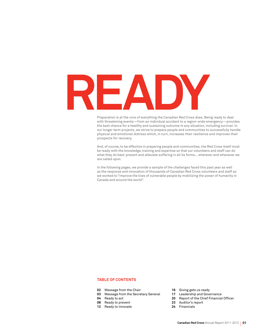

Preparation is at the core of everything the Canadian Red Cross does. Being ready to deal with threatening events—from an individual accident to a region-wide emergency—provides the best chance for a healthy and sustaining outcome in any situation, including survival. In our longer term projects, we strive to prepare people and communities to successfully handle physical and emotional distress which, in turn, increases their resilience and improves their prospects for recovery.

And, of course, to be effective in preparing people and communities, the Red Cross itself must be ready with the knowledge, training and expertise so that our volunteers and staff can do what they do best: prevent and alleviate suffering in all its forms... wherever and whenever we are called upon.

In the following pages, we provide a sample of the challenges faced this past year as well as the response and innovation of thousands of Canadian Red Cross volunteers and staff as we worked to "improve the lives of vulnerable people by mobilizing the power of humanity in Canada and around the world".

#### **table of Contents**

- **02** Message from the Chair
- **03** Message from the Secretary General
- **04** Ready to act
- **08** Ready to prevent
- **12** Ready to innovate
- **16** Giving gets us ready
- **17** Leadership and Governance
- **20** Report of the Chief Financial Officer
- **23** Auditor's report
- **24** Financials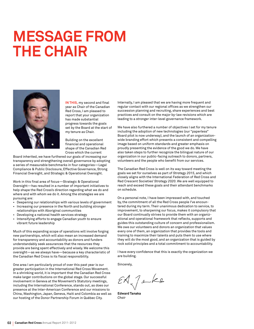# **Message from the Chair**



**In this,** my second and final year as Chair of the Canadian Red Cross, I am pleased to report that your organization has made substantial progress towards the goals set by the Board at the start of my tenure as Chair.

Building on the excellent financial and operational shape of the Canadian Red Cross which the current

Board inherited, we have furthered our goals of increasing our transparency and strengthening overall governance by adopting a series of measurable benchmarks in four categories—Legal Compliance & Public Disclosure, Effective Governance, Strong Financial Oversight, and Strategic & Operational Oversight.

Work in this final area of focus—Strategic & Operational Oversight—has resulted in a number of important initiatives to help shape the Red Cross's direction regarding what we do and where and with whom we do it. Among the strategies we are pursuing are:

- • Deepening our relationships with various levels of government
- Increasing our presence in the North and building stronger relationships with Aboriginal communities
- Developing a national health services strategy
- • Intensifying efforts to engage Canadian youth to ensure vibrant future leadership

Much of this expanding scope of operations will involve forging new partnerships, which will also mean an increased demand for transparency and accountability as donors and funders understandably seek assurances that the resources they provide are being spent effectively and wisely. We welcome this oversight—as we always have—because a key characteristic of the Canadian Red Cross is its fiscal responsibility.

One area I am particularly proud of over this past year is our greater participation in the International Red Cross Movement. In a shrinking world, it is important that the Canadian Red Cross make larger contributions on the global stage. Our successful involvement in Geneva at the Movement's Statutory meetings, including the International Conference, stands out, as does our presence at the Inter-American Conference and our missions to China, Washington, Japan, Geneva, Haiti and Colombia as well as our hosting of the Donor Partnership Forum in Québec City.

Internally, I am pleased that we are having more frequent and regular contact with our regional offices as we strengthen our succession planning and recruiting, share experiences and best practices and consult on the major by-law revisions which are leading to a stronger inter-level governance framework.

We have also furthered a number of objectives I set for my tenure including the adoption of new technologies (our "paperless" Board pilot is now underway), and the launch of an organizationwide branding effort which presents a consistent and compelling image based on uniform standards and greater emphasis on proudly presenting the evidence of the good we do. We have also taken steps to further recognize the bilingual nature of our organization in our public-facing outreach to donors, partners, volunteers and the people who benefit from our services.

The Canadian Red Cross is well on its way toward meeting the goals we set for ourselves as part of *Strategy 2015*, and which closely aligns with the International Federation of Red Cross and Red Crescent Societies' *Strategy 2020*. We are well equipped to reach and exceed these goals and their attendant benchmarks on schedule.

On a personal note, I have been impressed with, and touched by, the commitment of all the Red Cross people I've encountered during my term. Their unanimous dedication to service, to improvement, to sharpening our focus, makes it compulsory that our Board continually strives to provide them with an organizational and operational framework that reflects, supports and guides this outstanding culture of concern and professionalism. We owe our volunteers and donors an organization that values every one of them, an organization that provides the tools and training to maximize their talents and puts them to use where they will do the most good, and an organization that is guided by rock solid principles and a total commitment to accountability.

I have every confidence that this is exactly the organization we are building.

Sincerely,

 $EA\int E$ 

**Edward Tanaka** *Chair*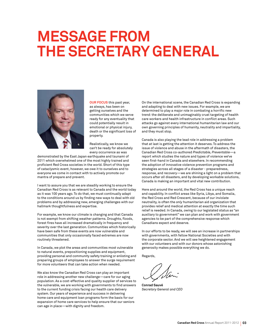# **Message from the Secretary General**



**Our focus** this past year, as always, has been on getting ourselves and the communities which we serve ready for any eventuality that could potentially result in emotional or physical injury, death or the significant loss of property.

Realistically, we know we can't be ready for absolutely every occurrence as was

demonstrated by the East Japan earthquake and tsunami of 2011 which overwhelmed one of the most highly trained and proficient Red Cross societies in the world. Short of this type of cataclysmic event, however, we owe it to ourselves and to everyone we come in contact with to actively promote our mantra of prepare and prevent.

I want to assure you that we are steadily working to ensure the Canadian Red Cross is as relevant to Canada and the world today as it was 100 years ago. To do that, we must continually adapt to the conditions around us by finding new ways to deal with old problems and by addressing new, emerging challenges with our hallmark thoughtfulness and expertise.

For example, we know our climate is changing and that Canada is not exempt from shifting weather patterns. Droughts, floods, forest fires have all increased dramatically in frequency and severity over the last generation. Communities which historically have been safe from these events are now vulnerable and communities that only occasionally faced extremes are now routinely threatened.

In Canada, we plot the areas and communities most vulnerable to natural events, prepositioning supplies and equipment, providing personal and community safety training or enlisting and preparing groups of employees to answer the surge requirement for more volunteers that can take action when needed.

We also know the Canadian Red Cross can play an important role in addressing another new challenge—care for our aging population. As a cost-effective and quality supplier of services to the vulnerable, we are working with governments to find answers to the current funding crisis facing our health care delivery system. Our years of experience and success in delivering home care and equipment loan programs form the basis for our expansion of home care services to help ensure that our seniors can age in place—with dignity and freedom.

On the international scene, the Canadian Red Cross is expanding and adapting to deal with new issues. For example, we are determined to play a major role in combating a horrific new trend: the deliberate and unimaginably cruel targeting of health care workers and health infrastructure in conflict areas. Such attacks go against every international humanitarian law and our own governing principles of humanity, neutrality and impartiality, and they must stop.

Canada is also playing the lead role in addressing a problem that at last is getting the attention it deserves. To address the issue of violence and abuse in the aftermath of disasters, the Canadian Red Cross co-authored *Predictable, Preventable*—a report which studies the nature and types of violence we've seen first-hand in Canada and elsewhere. In recommending the adoption of innovative violence prevention programs and strategies across all stages of a disaster - preparedness, response, and recovery—we are shining a light on a problem that occurs after *all* disasters, and by developing workable solutions, Canada is making an important and vital new contribution.

Here and around the world, the Red Cross has a unique reach and capability. In conflict areas like Syria, Libya, and Somalia, the Red Cross and Red Crescent, because of our inviolate neutrality, is often the *only* humanitarian aid organization that provides relief and medical attention at exactly the time such relief is needed. In Canada, owing to our legislated status as "an auxiliary to government" we can plan and work with government agencies to be part of the comprehensive response which Canadians expect and deserve.

In our efforts to be ready, we will see an increase in partnerships with governments, with fellow National Societies and with the corporate sector. And we will see heightened engagement with our volunteers and with our donors whose astonishing generosity makes possible everything we do.

Regards,

**Conrad Sauvé** *Secretary General and CEO*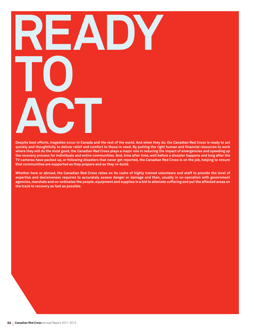# **Ready 10 a**<br>**Despite best efforts c**<br>**c**ts transaction occur in Canada and t

**Despite best efforts, tragedies occur in Canada and the rest of the world. And when they do, the Canadian Red Cross is ready to act quickly and thoughtfully to deliver relief and comfort to those in need. By putting the right human and financial resources to work where they will do the most good, the Canadian Red Cross plays a major role in reducing the impact of emergencies and speeding up the recovery process for individuals and entire communities. And, time after time, well before a disaster happens and long after the TV cameras have packed up, or following disasters that never get reported, the Canadian Red Cross is on the job, helping to ensure that communities are supported as they prepare and as they re-build.** 

**Whether here or abroad, the Canadian Red Cross relies on its cadre of highly trained volunteers and staff to provide the level of expertise and decisiveness required to accurately assess danger or damage and then, usually in co-operation with government agencies, marshals and co-ordinates the people, equipment and supplies in a bid to alleviate suffering and put the affected areas on the track to recovery as fast as possible.**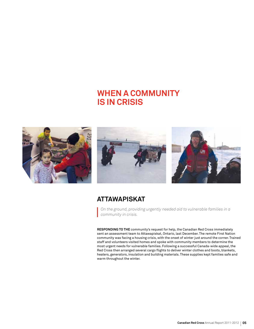# **when a community is in crisis**







### **Attawapiskat**

*On the ground, providing urgently needed aid to vulnerable families in a community in crisis.*

**Responding to the** community's request for help, the Canadian Red Cross immediately sent an assessment team to Attawapiskat, Ontario, last December. The remote First Nation community was facing a housing crisis, with the onset of winter just around the corner. Trained staff and volunteers visited homes and spoke with community members to determine the most urgent needs for vulnerable families. Following a successful Canada-wide appeal, the Red Cross then arranged several cargo flights to deliver winter clothes and boots, blankets, heaters, generators, insulation and building materials. These supplies kept families safe and warm throughout the winter.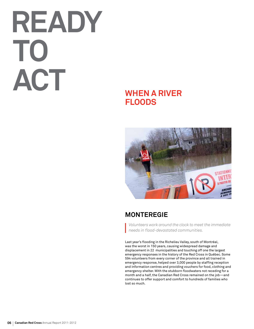# **Ready to act**

# **when a river floods**



## **monteregie**

*Volunteers work around the clock to meet the immediate needs in flood-devastated communities.*

Last year's flooding in the Richelieu Valley, south of Montréal, was the worst in 150 years, causing widespread damage and displacement in 22 municipalities and touching off one the largest emergency responses in the history of the Red Cross in Québec. Some 594 volunteers from every corner of the province and all trained in emergency response, helped over 3,000 people by staffing reception and information centres and providing vouchers for food, clothing and emergency shelter. With the stubborn floodwaters not receding for a month and a half, the Canadian Red Cross remained on the job—and continues to offer support and comfort to hundreds of families who lost so much.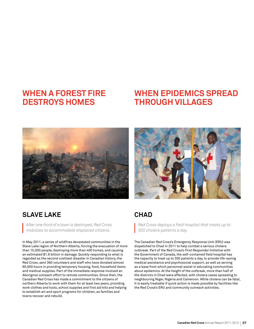# **when a forest fire destroys homes**

# **when epidemics spread through villages**



## **Slave lake**

*After one third of a town is destroyed, Red Cross mobilizes to accommodate displaced citizens.*

In May 2011, a series of wildfires devastated communities in the Slave Lake region of Northern Alberta, forcing the evacuation of more than 15,000 people, destroying more than 400 homes, and causing an estimated \$1.8 billion in damage. Quickly responding to what is regarded as the second costliest disaster in Canadian history, the Red Cross, sent 360 volunteers and staff who have donated almost 60,000 hours in providing temporary housing, food, household items and medical supplies. Part of the immediate response involved an Aboriginal outreach effort to remote communities. Since then, the Canadian Red Cross has made a commitment to the citizens of northern Alberta to work with them for at least two years, providing work clothes and tools, school supplies and first aid kits and helping to establish art and sport programs for children, as families and towns recover and rebuild.



### **Chad**

*Red Cross deploys a field hospital that treats up to 300 cholera patients a day.*

The Canadian Red Cross's Emergency Response Unit (ERU) was dispatched to Chad in 2011 to help combat a serious cholera outbreak. Part of the Red Cross's *First Responder Initiative* with the Government of Canada, the self-contained field hospital has the capacity to treat up to 300 patients a day, to provide life-saving medical assistance and psychosocial support, as well as serving as a base from which personnel assist in educating communities about epidemics. At the height of the outbreak, more than half of the districts in Chad were affected, with cholera cases spreading to neighbouring Niger, Nigeria and Cameroon. While cholera can be fatal, it is easily treatable if quick action is made possible by facilities like the Red Cross's ERU and community outreach activities.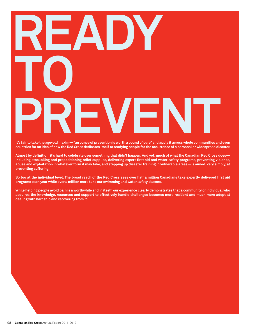# **Ready 10 p** REVENT

**It's fair to take the age-old maxim—"an ounce of prevention is worth a pound of cure" and apply it across whole communities and even countries for an idea of how the Red Cross dedicates itself to readying people for the occurrence of a personal or widespread disaster.** 

**Almost by definition, it's hard to celebrate over something that didn't happen. And yet, much of what the Canadian Red Cross does including stockpiling and prepositioning relief supplies, delivering expert first aid and water safety programs, preventing violence, abuse and exploitation in whatever form it may take, and stepping up disaster training in vulnerable areas—is aimed, very simply, at preventing suffering.** 

**So too at the individual level. The broad reach of the Red Cross sees over half a million Canadians take expertly delivered first aid programs each year while over a million more take our swimming and water safety classes.**

**While helping people avoid pain is a worthwhile end in itself, our experience clearly demonstrates that a community or individual who acquires the knowledge, resources and support to effectively handle challenges becomes more resilient and much more adept at dealing with hardship and recovering from it.**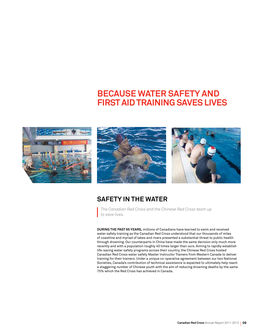# **Because water safety and first aid training saves lives**







### **Safety in the water**

*The Canadian Red Cross and the Chinese Red Cross team up to save lives.*

**During the past 65 years,** millions of Canadians have learned to swim and received water safety training as the Canadian Red Cross understood that our thousands of miles of coastline and myriad of lakes and rivers presented a substantial threat to public health through drowning. Our counterparts in China have made the same decision only much more recently and with a population roughly 40 times larger than ours. Aiming to rapidly establish life-saving water safety programs across their country, the Chinese Red Cross hosted Canadian Red Cross water safety Master Instructor Trainers from Western Canada to deliver training for their trainers. Under a unique co-operative agreement between our two National Societies, Canada's contribution of technical assistance is expected to ultimately help reach a staggering number of Chinese youth with the aim of reducing drowning deaths by the same 75% which the Red Cross has achieved in Canada.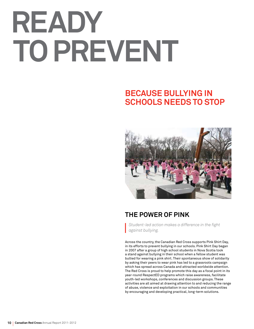# **Ready to prevent**

# **Because bullying in schools needs to stop**



## **The power of pink**

*Student-led action makes a difference in the fight against bullying.*

Across the country, the Canadian Red Cross supports Pink Shirt Day, in its efforts to prevent bullying in our schools. Pink Shirt Day began in 2007 after a group of high school students in Nova Scotia took a stand against bullying in their school when a fellow student was bullied for wearing a pink shirt. Their spontaneous show of solidarity by asking their peers to wear pink has led to a grassroots campaign which has spread across Canada and attracted worldwide attention. The Red Cross is proud to help promote this day as a focal point in its year-round RespectED programs which raise awareness, facilitate youth-led workshops, conferences and discussion groups. These activities are all aimed at drawing attention to and reducing the range of abuse, violence and exploitation in our schools and communities by encouraging and developing practical, long-term solutions.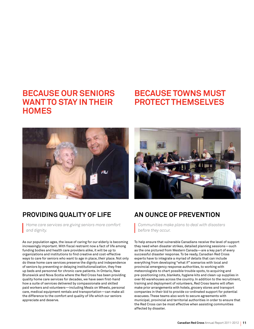# **Because our seniors want to stay in their homes**

# **Because towns must protect themselves**



## **Providing quality of life**

*Home care services are giving seniors more comfort and dignity.*

As our population ages, the issue of caring for our elderly is becoming increasingly important. With fiscal restraint now a fact of life among funding bodies and health care providers alike, it will be up to organizations and institutions to find creative and cost-effective ways to care for seniors who want to age in place, *their* place. Not only do these home care services preserve the dignity and independence of seniors by preventing or delaying institutionalization, they free up beds and personnel for chronic care patients. In Ontario, New Brunswick and Nova Scotia where the Red Cross has been providing quality home care services for decades, we have seen first-hand how a suite of services delivered by compassionate and skilled paid workers and volunteers—including Meals on Wheels, personal care, medical equipment rentals and transportation—can make all the difference to the comfort and quality of life which our seniors appreciate and deserve.



## **An ounce of prevention**

*Communities make plans to deal with disasters before they occur.*

To help ensure that vulnerable Canadians receive the level of support they need when disaster strikes, detailed planning sessions—such as the one pictured from Western Canada—are a key part of every successful disaster response. To be ready, Canadian Red Cross experts have to integrate a myriad of details that can include everything from developing "what if" scenarios with local and provincial emergency response authorities, to working with meteorologists to chart possible trouble spots, to acquiring and pre-positioning cots, blankets, hygiene kits and clean-up supplies in over 60 warehouses across the country. In addition to the recruitment, training and deployment of volunteers, Red Cross teams will often make prior arrangements with hotels, grocery stores and transport companies in their bid to provide co-ordinated support for potential evacuees. These teams also work to secure agreements with municipal, provincial and territorial authorities in order to ensure that the Red Cross can be most effective when assisting communities affected by disaster.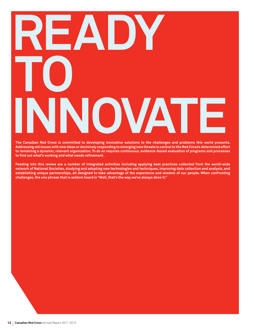# **Ready 10 independent Ped Cross is committed to developing innovative value of the challenges and problems this world present**

**T he Canadian Red Cross is committed to developing innovative solutions to the challenges and problems this world presents. A ddressing old issues with new ideas or decisively responding to emerging new threats is central to the Red Cross's determined effort to remaining a dynamic, relevant organization. To do so requires continuous, evidence-based evaluation of programs and processes to find out what's working and what needs refinement.** 

**Feeding into this review are a number of integrated activities including applying best practices collected from the world-wide network of National Societies, studying and adopting new technologies and techniques, improving data collection and analysis, and establishing unique partnerships, all designed to take advantage of the experience and wisdom of our people. When confronting challenges, the one phrase that is seldom heard is "Well, that's the way we've always done it."**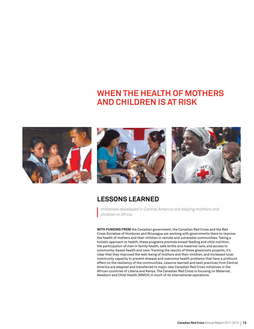# **When the health of mothers and children is at risk**







### **Lessons learned**

*Initiatives developed in Central America are helping mothers and children in Africa.*

**With funding from** the Canadian government, the Canadian Red Cross and the Red Cross Societies of Honduras and Nicaragua are working with governments there to improve the health of mothers and their children in remote and vulnerable communities. Taking a holistic approach to health, these programs promote breast feeding and child nutrition, the participation of men in family health, safe births and maternal care, and access to community-based health and care. Tracking the results of these grassroots projects, it's clear that they improved the well-being of mothers and their children, and increased local community capacity to prevent disease and overcome health problems that have a profound effect on the resiliency of the communities. Lessons learned and best practices from Central America are adapted and transferred to major new Canadian Red Cross initiatives in the African countries of Liberia and Kenya. The Canadian Red Cross is focusing on Maternal, Newborn and Child Health (MNCH) in much of its international operations.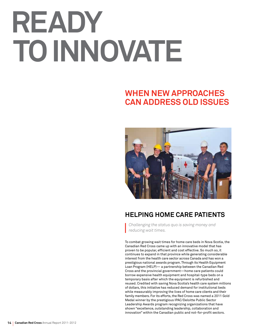# **Ready to innovate**

# **When new approaches can address old issues**



## **Helping home care patients**

*Challenging the status quo is saving money and reducing wait times.*

To combat growing wait times for home care beds in Nova Scotia, the Canadian Red Cross came up with an innovative model that has proven to be popular, efficient and cost effective. So much so, it continues to expand in that province while generating considerable interest from the health care sector across Canada and has won a prestigious national awards program. Through its Health Equipment Loan Program (HELP)— a partnership between the Canadian Red Cross and the provincial government—home care patients could borrow expensive health equipment and hospital-type beds on a temporary basis after which the equipment is refurbished and reused. Credited with saving Nova Scotia's health care system millions of dollars, this initiative has reduced demand for institutional beds while measurably improving the lives of home care clients and their family members. For its efforts, the Red Cross was named a 2011 Gold Medal winner by the prestigious IPAC/Deloitte Public Sector Leadership Awards program recognizing organizations that have shown "excellence, outstanding leadership, collaboration and innovation" within the Canadian public and not-for-profit sectors.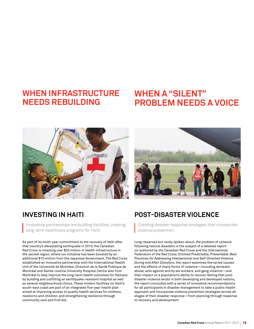# **When infrastructure needs rebuilding**

# **When a "silent" problem needs a voice**





### **Investing in Haiti**

*Innovative partnerships are building facilities, creating long-term healthcare programs for Haiti.*

As part of its multi-year commitment to the recovery of Haiti after that country's devastating earthquake in 2010, the Canadian Red Cross is investing over \$20 million in health infrastructure in the Jacmel region, where our initiative has been boosted by an additional \$10 million from the Japanese Government. The Red Cross established an innovative partnership with the International Health Unit of the Université de Montréal, Direction de la Santé Publique de Montréal and Sainte-Justine University Hospital Centre also from Montréal to help improve the long-term health outcomes for Haitians by building and outfitting an earthquake-resistant hospital as well as several neighbourhood clinics. These modern facilities on Haiti's south-east coast are part of an integrated five-year health plan aimed at improving access to quality health services for mothers, newborns and children, and strengthening resilience through community care and first aid.

## **Post-disaster violence**

*Creating disaster response strategies that incorporate violence prevention.*

Long-observed but rarely spoken about, the problem of violence following natural disasters is the subject of a detailed report co-authored by the Canadian Red Cross and the International Federation of the Red Cross. Entitled *Predictable, Preventable: Best Practices for Addressing Interpersonal and Self-Directed Violence During and After Disasters*, the report examines the varied causes and the effects of many forms of violence—including domestic abuse, acts against and by aid workers, and gang violence—and their impact on a population's ability to recover. Noting that postdisaster violence exists in both developing and developed nations, the report concludes with a series of innovative recommendations for all participants in disaster management to take a public health approach and incorporate violence prevention strategies across all stages of their disaster response—from planning through response to recovery and development.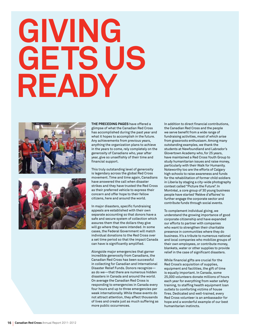# **Giving gets us ready**





**the preceding pages** have offered a glimpse of what the Canadian Red Cross has accomplished during the past year and what it hopes to accomplish in the future. Any achievements from previous years, anything the organization plans to achieve in the years to come, rely completely on the generosity of Canadians who, year after year, give so unselfishly of their time and financial support.

This truly outstanding level of generosity is legendary across the global Red Cross movement. Time and time again, Canadians have answered the call when disaster strikes and they have trusted the Red Cross as their preferred vehicle to express their concern and offer hope to their fellow citizens, here and around the world.

In major disasters, specific fundraising appeals are established with their own separate accounting so that donors have a safe and secure system of collection which assures them that the dollars they give will go where they were intended. In some cases, the Federal Government will match individual donations to the Red Cross over a set time period so that the impact Canada can have is significantly amplified.

Alongside major emergencies that garner incredible generosity from Canadians, the Canadian Red Cross has been successful in collecting for Canadian and International Disaster Relief Funds. Donors recognize as do we—that there are numerous hidden disasters in Canada and around the world. On average the Canadian Red Cross is responding to emergencies in Canada every four hours and up to three emergencies per week internationally. While these events do not attract attention, they affect thousands of lives and create just as much suffering as more public occurrences.

In addition to direct financial contributions, the Canadian Red Cross and the people we serve benefit from a wide range of fundraising activities, most of which arise from grassroots enthusiasm. Among many outstanding examples, we thank the students at Newfoundland and Labrador's Glovertown Academy who, for 25 years, have maintained a Red Cross Youth Group to study humanitarian issues and raise money, particularly with their Walk for Humanity. Noteworthy too are the efforts of Calgary high schools to raise awareness and funds for the rehabilitation of former child soldiers in Liberia by staging a city-wide photography contest called "Picture the Future". In Montréal, a core group of 30 young business people have started 'Relève d'affaires' to further engage the corporate sector and contribute funds through social events.

To complement individual giving, we understand the growing importance of good corporate citizenship and have expanded our efforts to partner with companies who want to strengthen their charitable presence in communities where they do business. It's a tribute to numerous national and local companies who mobilize groups of their own employees, or contribute money, blankets, water or other supplies to provide relief in the case of significant disasters.

While financial gifts are crucial for the Red Cross's acquisition of supplies, equipment and facilities, the gift of time is equally important. In Canada, some 25,000 volunteers donate millions of hours each year for everything from water safety training, to staffing health equipment loan outlets to comforting victims of house fires. Dedicated and well-trained, every Red Cross volunteer is an ambassador for hope and a wonderful example of our best humanitarian instincts.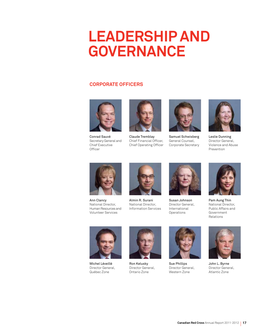# **Leadership and Governance**

#### **Corporate Officers**



Conrad Sauvé Secretary General and Chief Executive **Officer** 



Claude Tremblay Chief Financial Officer, Chief Operating Officer



Samuel Schwisberg General Counsel, Corporate Secretary



Leslie Dunning Director General, Violence and Abuse Prevention



Ann Clancy National Director, Human Resources and Volunteer Services



Almin R. Surani National Director, Information Services



Susan Johnson Director General, International **Operations** 



Pam Aung Thin National Director, Public Affairs and Government Relations



Michel Léveillé Director General, Québec Zone



Ron Kelusky Director General, Ontario Zone



Sue Phillips Director General, Western Zone



John L. Byrne Director General, Atlantic Zone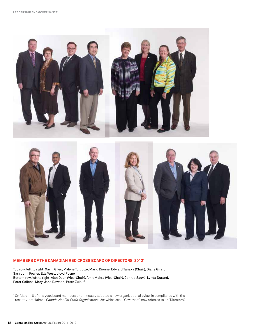

#### **Members of the Canadian Red Cross Board of Directors, 2012\***

Top row, left to right: Gavin Giles, Mylène Turcotte, Mario Dionne, Edward Tanaka (Chair), Diane Girard, Sara John Fowler, Ella West, Lloyd Posno Bottom row, left to right: Alan Dean (Vice-Chair), Amit Mehra (Vice-Chair), Conrad Sauvé, Lynda Durand, Peter Collens, Mary-Jane Dawson, Peter Zulauf,

\* On March 18 of this year, board members unanimously adopted a new organizational bylaw in compliance with the recently-proclaimed *Canada Not For Profit Organizations Act* which sees "Governors" now referred to as "Directors".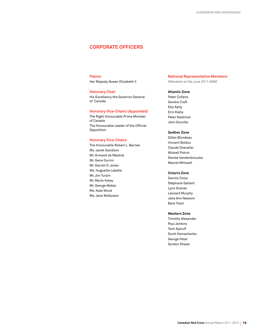#### **Corporate officers**

#### **Patron**

Her Majesty Queen Elizabeth II

#### **Honorary Chair**

His Excellency the Governor General of Canada

#### **Honorary Vice-Chairs (Appointed)**

The Right Honourable Prime Minister of Canada The Honourable Leader of the Official Opposition

#### **Honorary Vice-Chairs**

The Honourable Robert L. Barnes Ms. Janet Davidson Mr. Armand de Mestral Mr. Gene Durnin Mr. Darrell D. Jones Ms. Huguette Labelle Mr. Jon Turpin Mr. Myrle Vokey Mr. George Weber Ms. Kate Wood Ms. Jane McGowan

#### **National Representative Members**

*(Members at the June 2011 AGM)*

#### **Atlantic Zone**

Peter Collens Sandra Craft Ella Kelly Erin Kielly Peter Nestman John Scoville

#### **Québec Zone**

Gilles Blondeau Vincent Bolduc Claude Chevalier Mishell Potvin Denise Vandenbroucke Marcel Whissell

#### **Ontario Zone**

Dennis Chow Stéphane Gallant Lynn Greiner Leonard Murphy Jane Ann Newson Barb Trant

#### **Western Zone**

Timothy Alexander Paul Jenkins Tami Kjerulf Scott Osmachenko George Petel Gordon Shead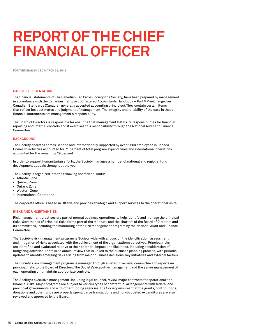# **Report of the Chief Financial Officer**

**FOR THE YEAR ENDED MARCH 31, 2012**

#### **BASIS OF PRESENTATION**

The financial statements of The Canadian Red Cross Society (the Society) have been prepared by management in accordance with the Canadian Institute of Chartered Accountants Handbook – Part V Pre-Changeover Canadian Standards (Canadian generally accepted accounting principles). They contain certain items that reflect best estimates and judgment of management. The integrity and reliability of the data in these financial statements are management's responsibility.

The Board of Directors is responsible for ensuring that management fulfills its responsibilities for financial reporting and internal controls and it exercises this responsibility through the National Audit and Finance Committee.

#### **BACKGROUND**

The Society operates across Canada and internationally, supported by over 6,600 employees in Canada. Domestic activities accounted for 71 percent of total program expenditures and international operations accounted for the remaining 29 percent.

In order to support humanitarian efforts, the Society manages a number of national and regional fund development appeals throughout the year.

The Society is organized into the following operational units:

- • Atlantic Zone
- • Québec Zone
- • Ontario Zone
- • Western Zone
- • International Operations

The corporate office is based in Ottawa and provides strategic and support services to the operational units.

#### **RISKS AND UNCERTAINTIES**

Risk management practices are part of normal business operations to help identify and manage the principal risks. Governance of principal risks forms part of the mandate and the charters of the Board of Directors and its committees, including the monitoring of the risk management program by the National Audit and Finance Committee.

The Society's risk management program is Society wide with a focus on the identification, assessment and mitigation of risks associated with the achievement of the organization's objectives. Principal risks are identified and evaluated relative to their potential impact and likelihood, including consideration of mitigating activities. There is an annual review that is linked to the business planning process, with periodic updates to identify emerging risks arising from major business decisions, key initiatives and external factors.

The Society's risk management program is managed through an executive-level committee and reports on principal risks to the Board of Directors. The Society's executive management and the senior management of each operating unit maintain appropriate controls.

The Society's executive management, including legal counsel, review major contracts for operational and financial risks. Major programs are subject to various types of contractual arrangements with federal and provincial governments and with other funding agencies. The Society ensures that the grants, contributions, donations and other funds are properly spent. Large transactions and non-budgeted expenditures are also reviewed and approved by the Board.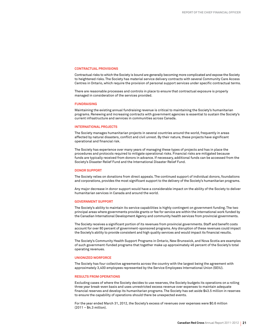#### **CONTRACTUAL PROVISIONS**

Contractual risks to which the Society is bound are generally becoming more complicated and expose the Society to heightened risks. The Society has material service delivery contracts with several Community Care Access Centres in Ontario, which require the provision of personal support services under specific contractual terms.

There are reasonable processes and controls in place to ensure that contractual exposure is properly managed in consideration of the services provided.

#### **FUNDRAISING**

Maintaining the existing annual fundraising revenue is critical to maintaining the Society's humanitarian programs. Renewing and increasing contracts with government agencies is essential to sustain the Society's current infrastructure and services in communities across Canada.

#### **INTERNATIONAL PROJECTS**

The Society manages humanitarian projects in several countries around the world, frequently in areas affected by natural disasters, conflict and civil unrest. By their nature, these projects have significant operational and financial risk.

The Society has experience over many years of managing these types of projects and has in place the procedures and protocols required to mitigate operational risks. Financial risks are mitigated because funds are typically received from donors in advance. If necessary, additional funds can be accessed from the Society's Disaster Relief Fund and the International Disaster Relief Fund.

#### **DONOR SUPPORT**

The Society relies on donations from direct appeals. The continued support of individual donors, foundations and corporations, provides the most significant support to the delivery of the Society's humanitarian programs.

Any major decrease in donor support would have a considerable impact on the ability of the Society to deliver humanitarian services in Canada and around the world.

#### **GOVERNMENT SUPPORT**

The Society's ability to maintain its service capabilities is highly contingent on government funding. The two principal areas where governments provide grants or fee for service are within the international work funded by the Canadian International Development Agency and community health services from provincial governments.

The Society receives a significant portion of its revenues from provincial governments. Staff and benefit costs account for over 80 percent of government-sponsored programs. Any disruption of these revenues could impact the Society's ability to provide consistent and high quality services and would impact its financial results.

The Society's Community Health Support Programs in Ontario, New Brunswick, and Nova Scotia are examples of such government-funded programs that together make up approximately 46 percent of the Society's total operating revenues.

#### **UNIONIZED WORFORCE**

The Society has four collective agreements across the country with the largest being the agreement with approximately 3,400 employees represented by the Service Employees International Union (SEIU).

#### **RESULTS FROM OPERATIONS**

Excluding cases of where the Society decides to use reserves, the Society budgets its operations on a rolling three year break-even basis and uses unrestricted excess revenue over expenses to maintain adequate financial reserves and develop its humanitarian programs. The Society has set aside \$43.5 million in reserves to ensure the capability of operations should there be unexpected events.

For the year ended March 31, 2012, the Society's excess of revenues over expenses were \$0.6 million (2011 – \$4.3 million).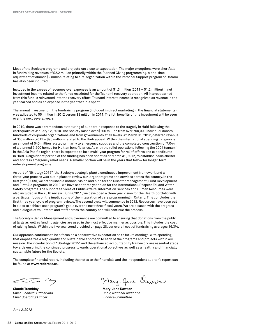Most of the Society's programs and projects ran close to expectation. The major exceptions were shortfalls in fundraising revenues of \$2.2 million primarily within the Planned Giving programming. A one-time adjustment of almost \$2 million relating to a re-organization within the Personal Support program of Ontario has also been incurred.

Included in the excess of revenues over expenses is an amount of \$1.3 million (2011 – \$1.2 million) in net investment income related to the funds restricted for the Tsunami recovery operation. All interest earned from this fund is reinvested into the recovery effort. Tsunami interest income is recognized as revenue in the year earned and as an expense in the year that it is spent.

The annual investment in the fundraising program (included in direct marketing in the financial statements) was adjusted to \$5 million in 2012 versus \$8 million in 2011. The full benefits of this investment will be seen over the next several years.

In 2010, there was a tremendous outpouring of support in response to the tragedy in Haiti following the earthquake of January 12, 2010. The Society raised over \$200 million from over 700,000 individual donors, hundreds of corporate organizations and from governments at all levels. At March 31, 2012, deferred revenue of \$60 million (2011 – \$95 million) related to the Haiti appeal. Within the international spending category is an amount of \$40 million related primarily to emergency supplies and the completed construction of 7,044 of a planned 7,500 homes for Haitian beneficiaries. As with the relief operations following the 2004 tsunami in the Asia Pacific region, there is expected to be a multi-year program for relief efforts and expenditures in Haiti. A significant portion of the funding has been spent as at March 31, 2012, to establish basic shelter and address emergency relief needs. A smaller portion will be in the years that follow for longer-term redevelopment programs.

As part of "Strategy 2015" (the Society's strategic plan) a continuous improvement framework and a three-year process was put in place to review our larger programs and services across the country. In the first year (2009), we established a national vision and plan for the Disaster Management, Fund Development and First Aid programs. In 2010, we have set a three year plan for the International, Respect Ed, and Water Safety programs. The support services of Public Affairs, Information Services and Human Resources were also included in the 2010 review. During 2011, we developed a three year vision for the Health portfolio with a particular focus on the implications of the integration of care programming in Ontario. This concludes the first three year cycle of program reviews. The second cycle will commence in 2012. Resources have been put in place to achieve each program's goals over the next three fiscal years. We are pleased with the progress and dialogue of volunteers and staff across the country and will continue the process.

The Society's Senior Management and Governance are committed to ensuring that donations from the public at large as well as funding agencies are used in the most effective manner as possible. This includes the cost of raising funds. Within the five year trend provided on page 28, our overall cost of fundraising averages 16.3%.

Our approach continues to be a focus on a conservative expectation as to future earnings, with spending that emphasizes a high quality and sustainable approach to each of the programs and projects within our mission. The introduction of "Strategy 2015" and the enhanced accountability framework are essential steps towards ensuring the continued progress towards operational objectives as well as a healthy and financially sustainable future for the Society.

The complete financial report, including the notes to the financials and the independent auditor's report can be found at **www.redcross.ca**.

 $27 - 14$ 

**Claude Tremblay Community Claude Tremblay** Mary-Jane Dawson *Chief Financial Officer and Chair, National Audit and* **Chief Operating Officer Finance Committee** 

*June 2, 2012*

Mary-Jane Dawson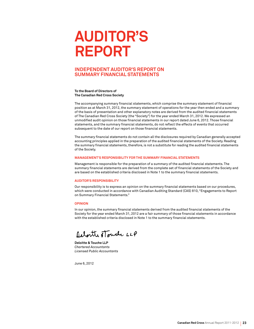# **Auditor's Report**

#### **Independent Auditor's Report on Summary Financial Statements**

#### **To the Board of Directors of The Canadian Red Cross Society**

The accompanying summary financial statements, which comprise the summary statement of financial position as at March 31, 2012, the summary statement of operations for the year then ended and a summary of the basis of presentation and other explanatory notes are derived from the audited financial statements of The Canadian Red Cross Society (the "Society") for the year ended March 31, 2012. We expressed an unmodified audit opinion on those financial statements in our report dated June 6, 2012. Those financial statements, and the summary financial statements, do not reflect the effects of events that occurred subsequent to the date of our report on those financial statements.

The summary financial statements do not contain all the disclosures required by Canadian generally accepted accounting principles applied in the preparation of the audited financial statements of the Society. Reading the summary financial statements, therefore, is not a substitute for reading the audited financial statements of the Society.

#### **Management's Responsibility for the Summary Financial Statements**

Management is responsible for the preparation of a summary of the audited financial statements. The summary financial statements are derived from the complete set of financial statements of the Society and are based on the established criteria disclosed in Note 1 to the summary financial statements.

#### **Auditor's Responsibility**

Our responsibility is to express an opinion on the summary financial statements based on our procedures, which were conducted in accordance with Canadian Auditing Standard (CAS) 810, "Engagements to Report on Summary Financial Statements."

#### **Opinion**

In our opinion, the summary financial statements derived from the audited financial statements of the Society for the year ended March 31, 2012 are a fair summary of those financial statements in accordance with the established criteria disclosed in Note 1 to the summary financial statements.

Relaitte stouche LLP

**Deloitte & Touche LLP** *Chartered Accountants Licensed Public Accountants*

June 6, 2012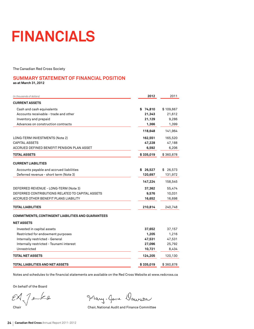# **Financials**

The Canadian Red Cross Society

#### **Summary Statement of Financial Position as at March 31, 2012**

| (in thousands of dollars)                                 | 2012      | 2011      |
|-----------------------------------------------------------|-----------|-----------|
| <b>CURRENT ASSETS</b>                                     |           |           |
| Cash and cash equivalents                                 | \$74,810  | \$109,667 |
| Accounts receivable - trade and other                     | 21,343    | 21,612    |
| Inventory and prepaid                                     | 21,129    | 9,286     |
| Advances on construction contracts                        | 1,366     | 1,399     |
|                                                           | 118,648   | 141,964   |
| LONG-TERM INVESTMENTS (Note 2)                            | 162,551   | 165,520   |
| <b>CAPITAL ASSETS</b>                                     | 47,228    | 47,188    |
| ACCRUED DEFINED BENEFIT PENSION PLAN ASSET                | 6,592     | 6,206     |
| <b>TOTAL ASSETS</b>                                       | \$335,019 | \$360,878 |
| <b>CURRENT LIABILITIES</b>                                |           |           |
| Accounts payable and accrued liabilities                  | \$26,527  | \$26,573  |
| Deferred revenue - short term (Note 3)                    | 120,697   | 131,972   |
|                                                           | 147,224   | 158,545   |
| DEFERRED REVENUE - LONG-TERM (Note 3)                     | 37,362    | 55,474    |
| DEFERRED CONTRIBUTIONS RELATED TO CAPITAL ASSETS          | 9,576     | 10,031    |
| ACCRUED OTHER BENEFIT PLANS LIABILITY                     | 16,652    | 16,698    |
| <b>TOTAL LIABILITIES</b>                                  | 210,814   | 240,748   |
| <b>COMMITMENTS, CONTINGENT LIABILITIES AND GUARANTEES</b> |           |           |
| <b>NET ASSETS</b>                                         |           |           |
| Invested in capital assets                                | 37,652    | 37,157    |
| Restricted for endowment purposes                         | 1,205     | 1,216     |
| Internally restricted - General                           | 47,531    | 47,531    |
| Internally restricted - Tsunami interest                  | 27,096    | 25,792    |
| Unrestricted                                              | 10,721    | 8,434     |
| <b>TOTAL NET ASSETS</b>                                   | 124,205   | 120,130   |
| <b>TOTAL LIABILITIES AND NET ASSETS</b>                   | \$335,019 | \$360,878 |

Notes and schedules to the financial statements are available on the Red Cross Website at www.redcross.ca

On behalf of the Board

 $7 - k$ e EĂ

Mary-Jane Dawson

Chair Chair, National Audit and Finance Committee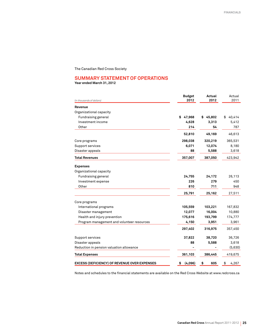The Canadian Red Cross Society

#### **Summary Statement of Operations**

**Year ended March 31, 2012**

| (in thousands of dollars)                           | <b>Budget</b><br>2012 | Actual<br>2012 | Actual<br>2011 |
|-----------------------------------------------------|-----------------------|----------------|----------------|
| Revenue                                             |                       |                |                |
| Organizational capacity                             |                       |                |                |
| Fundraising general                                 | 47,968<br>\$          | 45,802<br>\$   | \$<br>40,414   |
| Investment income                                   | 4,628                 | 3,313          | 5,412          |
| Other                                               | 214                   | 54             | 787            |
|                                                     | 52,810                | 49,169         | 46,613         |
| Core programs                                       | 298,038               | 320,219        | 365,531        |
| Support services                                    | 6,071                 | 12,074         | 8,180          |
| Disaster appeals                                    | 88                    | 5,588          | 3,618          |
| <b>Total Revenues</b>                               | 357,007               | 387,050        | 423,942        |
| <b>Expenses</b>                                     |                       |                |                |
| Organizational capacity                             |                       |                |                |
| Fundraising general                                 | 24,755                | 24,172         | 26,113         |
| Investment expense                                  | 226                   | 279            | 450            |
| Other                                               | 810                   | 711            | 948            |
|                                                     | 25,791                | 25,162         | 27,511         |
| Core programs                                       |                       |                |                |
| International programs                              | 105,559               | 103,221        | 167,832        |
| Disaster management                                 | 12,077                | 16,004         | 10,880         |
| Health and injury prevention                        | 175,616               | 193,799        | 174,777        |
| Program management and volunteer resources          | 4,150                 | 3,951          | 3,961          |
|                                                     | 297,402               | 316,975        | 357,450        |
| Support services                                    | 37,822                | 38,720         | 36,726         |
| Disaster appeals                                    | 88                    | 5,588          | 3,618          |
| Reduction in pension valuation allowance            |                       |                | (5,630)        |
| <b>Total Expenses</b>                               | 361,103               | 386,445        | 419,675        |
| <b>EXCESS (DEFICIENCY) OF REVENUE OVER EXPENSES</b> | \$<br>(4,096)         | \$<br>605      | \$<br>4,267    |

Notes and schedules to the financial statements are available on the Red Cross Website at www.redcross.ca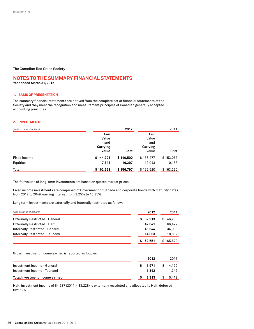The Canadian Red Cross Society

#### **Notes to the summary financial statements Year ended March 31, 2012**

#### **1. Basis of presentation**

The summary financial statements are derived from the complete set of financial statements of the Society and they meet the recognition and measurement principles of Canadian generally accepted accounting principles.

#### **2. Investments**

| (in thousands of dollars) |           | 2012      |           | 2011      |
|---------------------------|-----------|-----------|-----------|-----------|
|                           | Fair      |           | Fair      |           |
|                           | Value     |           | Value     |           |
|                           | and       |           | and       |           |
|                           | Carrying  |           | Carrying  |           |
|                           | Value     | Cost      | Value     | Cost      |
| Fixed income              | \$144,708 | \$140,500 | \$153,477 | \$153,067 |
| Equities                  | 17,843    | 16,297    | 12,043    | 10,183    |
| Total                     | \$162,551 | \$156,797 | \$165,520 | \$163,250 |

The fair values of long-term investments are based on quoted market prices.

Fixed income investments are comprised of Government of Canada and corporate bonds with maturity dates from 2012 to 2049, earning interest from 2.25% to 10.35%.

Long term investments are externally and internally restricted as follows:

| (in thousands of dollars)              | 2012      | 2011          |
|----------------------------------------|-----------|---------------|
| <b>Externally Restricted - General</b> | \$62,913  | 46.203<br>\$. |
| Externally Restricted - Haiti          | 42.041    | 66,427        |
| Internally Restricted - General        | 43.544    | 34,008        |
| Internally Restricted - Tsunami        | 14,053    | 18,882        |
|                                        | \$162,551 | \$165,520     |
|                                        |           |               |

Gross investment income earned is reported as follows:

| Total investment income earned | \$3,313 | \$ 5,412 |
|--------------------------------|---------|----------|
|                                |         |          |
| Investment income - Tsunami    | 1.342   | 1.242    |
| Investment income - General    | \$1.971 | \$ 4.170 |
|                                | 2012    | 2011     |

Haiti investment income of \$4,537 (2011 – \$3,228) is externally restricted and allocated to Haiti deferred revenue.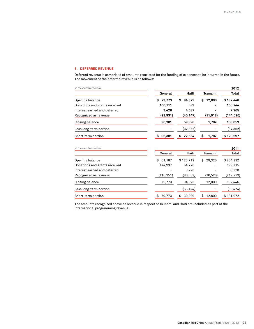#### **3. Deferred Revenue**

Deferred revenue is comprised of amounts restricted for the funding of expenses to be incurred in the future. The movement of the deferred revenue is as follows:

| (in thousands of dollars)     |              |              |              | 2012       |
|-------------------------------|--------------|--------------|--------------|------------|
|                               | General      | Haiti        | Tsunami      | Total      |
| Opening balance               | 79,773<br>\$ | 94,873<br>\$ | 12,800<br>\$ | \$187,446  |
| Donations and grants received | 106,111      | 633          | -            | 106,744    |
| Interest earned and deferred  | 3,428        | 4,537        |              | 7,965      |
| Recognized as revenue         | (92, 931)    | (40, 147)    | (11, 018)    | (144, 096) |
| Closing balance               | 96,381       | 59,896       | 1,782        | 158,059    |
| Less long-term portion        |              | (37, 362)    |              | (37, 362)  |
| Short-term portion            | 96,381<br>\$ | 22,534<br>\$ | 1,782        | \$120,697  |
|                               |              |              |              |            |

*(in thousands of dollars)* 2011

|                               | General      | Haiti        | Tsunami      | Total      |
|-------------------------------|--------------|--------------|--------------|------------|
| Opening balance               | 51,187<br>\$ | \$123,719    | 29.326<br>\$ | \$204,232  |
| Donations and grants received | 144,937      | 54,778       |              | 199,715    |
| Interest earned and deferred  |              | 3.228        |              | 3,228      |
| Recognized as revenue         | (116, 351)   | (86, 852)    | (16, 526)    | (219, 729) |
| Closing balance               | 79,773       | 94,873       | 12,800       | 187,446    |
| Less long-term portion        |              | (55, 474)    |              | (55, 474)  |
| Short-term portion            | 79,773<br>\$ | 39.399<br>\$ | 12,800<br>\$ | \$131,972  |

The amounts recognized above as revenue in respect of Tsunami and Haiti are included as part of the international programming revenue.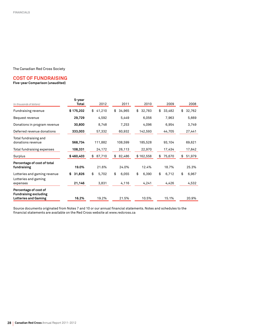#### The Canadian Red Cross Society

#### **Cost of fundraising**

#### **Five-year Comparison (unaudited)**

| (in thousands of dollars)                                                            | 5-year<br>Total        | 2012                 | 2011                 | 2010                 | 2009                 | 2008                 |
|--------------------------------------------------------------------------------------|------------------------|----------------------|----------------------|----------------------|----------------------|----------------------|
| Fundraising revenue                                                                  | \$175,202              | 41,210<br>\$         | \$<br>34,965         | \$<br>32,783         | \$<br>33,482         | \$<br>32,762         |
| Bequest revenue                                                                      | 29,729                 | 4,592                | 5,449                | 6,056                | 7,963                | 5,669                |
| Donations in program revenue                                                         | 30,800                 | 8,748                | 7,253                | 4,096                | 6,954                | 3,749                |
| Deferred revenue donations                                                           | 333,003                | 57,332               | 60,932               | 142,593              | 44,705               | 27,441               |
| Total fundraising and<br>donations revenue<br>Total fundraising expenses             | 568,734<br>108,331     | 111,882<br>24,172    | 108,599<br>26,113    | 185,528<br>22,970    | 93,104<br>17,434     | 69,621<br>17,642     |
| Surplus                                                                              | \$460,403              | 87,710<br>\$         | 82,486<br>\$         | \$162,558            | 75,670<br>\$         | 51,979<br>\$         |
| Percentage of cost of total<br>fundraising                                           | 19.0%                  | 21.6%                | 24.0%                | 12.4%                | 18.7%                | 25.3%                |
| Lotteries and gaming revenue<br>Lotteries and gaming<br>expenses                     | 31,826<br>\$<br>21,146 | \$<br>5,702<br>3,831 | \$<br>6,055<br>4,116 | \$<br>6,390<br>4,241 | \$<br>6,712<br>4,426 | \$<br>6,967<br>4,532 |
| Percentage of cost of<br><b>Fundraising excluding</b><br><b>Lotteries and Gaming</b> | 16.2%                  | 19.2%                | 21.5%                | 10.5%                | 15.1%                | 20.9%                |

Source documents originated from Notes 7 and 10 or our annual financial statements. Notes and schedules to the financial statements are available on the Red Cross website at www.redcross.ca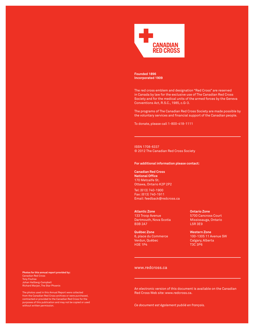

**Founded 1896 Incorporated 1909**

The red cross emblem and designation "Red Cross" are reserved in Canada by law for the exclusive use of The Canadian Red Cross Society and for the medical units of the armed forces by the Geneva Conventions Act, R.S.C., 1985, c.G-3.

The programs of The Canadian Red Cross Society are made possible by the voluntary services and financial support of the Canadian people.

To donate, please call 1-800-418-1111

ISSN 1708-6337 © 2012 The Canadian Red Cross Society

#### **For additional information please contact:**

#### **Canadian Red Cross National Office**

170 Metcalfe St. Ottawa, Ontario K2P 2P2

Tel: (613) 740-1900 Fax: (613) 740-1911 Email: feedback@redcross.ca

**Atlantic Zone** 133 Troop Avenue Dartmouth, Nova Scotia B3B 2A7

**Québec Zone** 6, place du Commerce Verdun, Québec H3E 1P4

**Ontario Zone** 5700 Cancross Court Mississauga, Ontario L5R 3E9

**Western Zone** 100-1305 11 Avenue SW Calgary, Alberta T3C 3P6

#### www.redcross.ca

An electronic version of this document is available on the Canadian Red Cross Web site: www.redcross.ca.

*Ce document est également publié en français.*

**Photos for this annual report provided by:** Canadian Red Cross Tony Fouhse Johan Hallberg-Campbell Richard Marjan, The Star Phoenix

The photos used in this Annual Report were collected from the Canadian Red Cross archives or were purchased, contracted or provided to the Canadian Red Cross for the purposes of this publication and may not be copied or used without written permission.